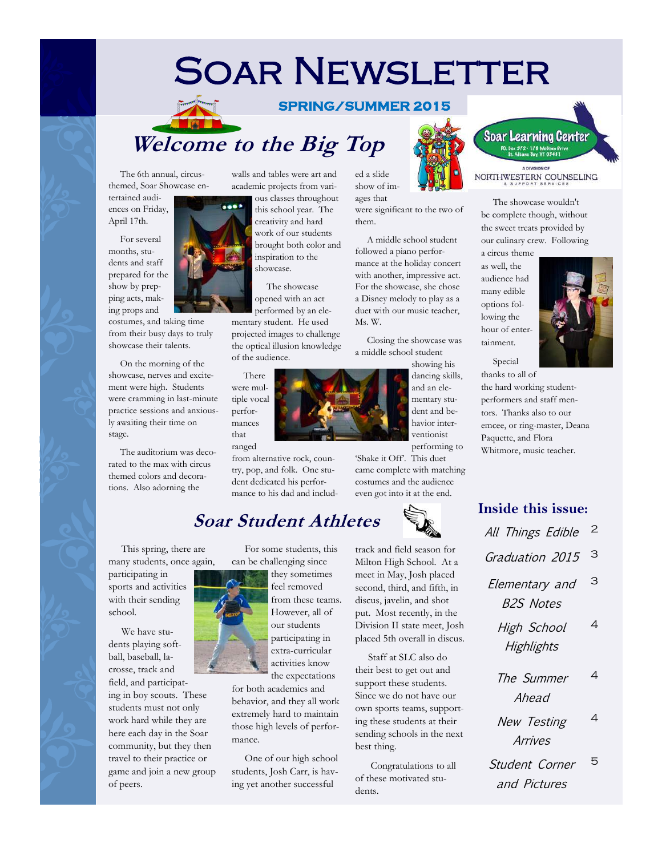## **SOAR NEWSLETTER**

#### **SPRING/SUMMER 2015**

ed a slide show of images that

them.

Ms. W.

were significant to the two of

 A middle school student followed a piano performance at the holiday concert with another, impressive act. For the showcase, she chose a Disney melody to play as a duet with our music teacher,

## **Welcome to the Big Top**

 The 6th annual, circusthemed, Soar Showcase entertained audi-

ences on Friday, April 17th.

 For several months, students and staff prepared for the show by prepping acts, making props and

costumes, and taking time from their busy days to truly showcase their talents.

 On the morning of the showcase, nerves and excitement were high. Students were cramming in last-minute practice sessions and anxiously awaiting their time on stage.

 The auditorium was decorated to the max with circus themed colors and decorations. Also adorning the

walls and tables were art and academic projects from vari-

ous classes throughout this school year. The creativity and hard work of our students brought both color and inspiration to the showcase.

opened with an act performed by an ele-

mentary student. He used projected images to challenge the optical illusion knowledge of the audience.

 There were multiple vocal performances that ranged

from alternative rock, country, pop, and folk. One student dedicated his performance to his dad and includ-

## **Soar Student Athletes**

 This spring, there are many students, once again, participating in sports and activities with their sending school.

 We have students playing softball, baseball, lacrosse, track and field, and participating in boy scouts. These students must not only work hard while they are here each day in the Soar community, but they then travel to their practice or game and join a new group of peers.

 For some students, this can be challenging since

> they sometimes feel removed from these teams. However, all of our students participating in extra-curricular activities know the expectations

for both academics and behavior, and they all work extremely hard to maintain those high levels of performance.

 One of our high school students, Josh Carr, is having yet another successful

track and field season for Milton High School. At a meet in May, Josh placed second, third, and fifth, in discus, javelin, and shot put. Most recently, in the Division II state meet, Josh placed 5th overall in discus.

 Staff at SLC also do their best to get out and support these students. Since we do not have our own sports teams, supporting these students at their sending schools in the next best thing.

 Congratulations to all of these motivated students.



#### NORTHWESTERN COUNSELING

 The showcase wouldn't be complete though, without the sweet treats provided by our culinary crew. Following

a circus theme as well, the audience had many edible options following the hour of entertainment.



 Special thanks to all of the hard working studentperformers and staff mentors. Thanks also to our emcee, or ring-master, Deana Paquette, and Flora Whitmore, music teacher.

**Inside this issue:** All Things Edible 2 Graduation 2015 3 Elementary and 3

B2S Notes

- High School **Highlights** 4
- The Summer Ahead 4
- New Testing Arrives 4
- Student Corner and Pictures 5





ventionist performing to 'Shake it Off'. This duet

dent and behavior inter-

came complete with matching costumes and the audience even got into it at the end.



 Closing the showcase was a middle school student showing his dancing skills, and an elementary stu-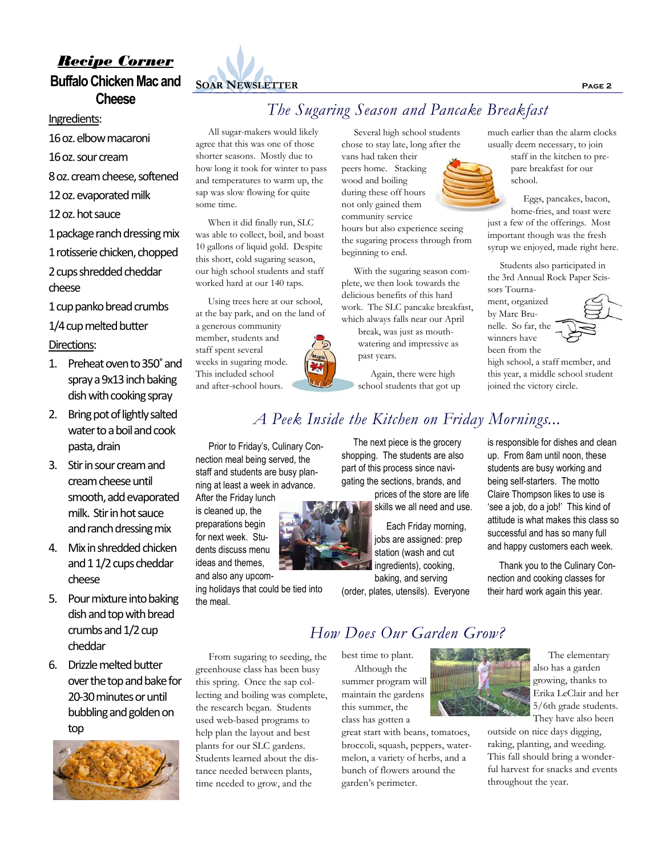## *Recipe Corner* **Buffalo Chicken Mac and Cheese**

#### Ingredients:

16 oz. elbow macaroni 16 oz. sour cream 8 oz. cream cheese, softened 12 oz. evaporated milk 12 oz. hot sauce 1 package ranch dressing mix 1 rotisserie chicken, chopped

#### 2 cups shredded cheddar cheese

1 cup panko bread crumbs

1/4 cup melted butter Directions:

- 1. Preheat oven to 350˚ and spray a 9x13 inch baking dish with cooking spray
- 2. Bring pot of lightly salted water to a boil and cook pasta, drain
- 3. Stir in sour cream and cream cheese until smooth, add evaporated milk. Stir in hot sauce and ranch dressing mix
- 4. Mix in shredded chicken and 1 1/2 cups cheddar cheese
- 5. Pour mixture into baking dish and top with bread crumbs and 1/2 cup cheddar
- 6. Drizzle melted butter over the top and bake for 20-30 minutes or until bubbling and golden on top





#### All sugar-makers would likely agree that this was one of those shorter seasons. Mostly due to how long it took for winter to pass and temperatures to warm up, the sap was slow flowing for quite some time.

 When it did finally run, SLC was able to collect, boil, and boast 10 gallons of liquid gold. Despite this short, cold sugaring season, our high school students and staff worked hard at our 140 taps.

 Using trees here at our school, at the bay park, and on the land of a generous community member, students and staff spent several weeks in sugaring mode. This included school and after-school hours.

*The Sugaring Season and Pancake Breakfast*

 Several high school students chose to stay late, long after the vans had taken their peers home. Stacking wood and boiling during these off hours not only gained them community service hours but also experience seeing the sugaring process through from

beginning to end.

 With the sugaring season complete, we then look towards the delicious benefits of this hard work. The SLC pancake breakfast, which always falls near our April

break, was just as mouthwatering and impressive as past years.

 Again, there were high school students that got up much earlier than the alarm clocks usually deem necessary, to join

staff in the kitchen to prepare breakfast for our school.

 Eggs, pancakes, bacon, home-fries, and toast were just a few of the offerings. Most important though was the fresh syrup we enjoyed, made right here.

 Students also participated in the 3rd Annual Rock Paper Scissors Tourna-

ment, organized by Marc Brunelle. So far, the winners have been from the



high school, a staff member, and this year, a middle school student joined the victory circle.

 The next piece is the grocery Prior to Friday's, Culinary Con-

*A Peek Inside the Kitchen on Friday Mornings...*

nection meal being served, the staff and students are busy planning at least a week in advance. After the Friday lunch

is cleaned up, the preparations begin for next week. Students discuss menu ideas and themes,

and also any upcoming holidays that could be tied into

the meal.

tance needed between plants, time needed to grow, and the shopping. The students are also part of this process since navigating the sections, brands, and

prices of the store are life skills we all need and use.

 Each Friday morning, jobs are assigned: prep station (wash and cut ingredients), cooking, baking, and serving

(order, plates, utensils). Everyone

is responsible for dishes and clean up. From 8am until noon, these students are busy working and being self-starters. The motto Claire Thompson likes to use is 'see a job, do a job!' This kind of attitude is what makes this class so successful and has so many full

 Thank you to the Culinary Connection and cooking classes for their hard work again this year.

and happy customers each week.

 From sugaring to seeding, the greenhouse class has been busy this spring. Once the sap collecting and boiling was complete, the research began. Students used web-based programs to help plan the layout and best plants for our SLC gardens. Students learned about the dis-

## *How Does Our Garden Grow?*

best time to plant. Although the summer program will maintain the gardens this summer, the class has gotten a

great start with beans, tomatoes, broccoli, squash, peppers, watermelon, a variety of herbs, and a bunch of flowers around the garden's perimeter.



 The elementary also has a garden growing, thanks to Erika LeClair and her 5/6th grade students. They have also been

outside on nice days digging, raking, planting, and weeding. This fall should bring a wonderful harvest for snacks and events throughout the year.

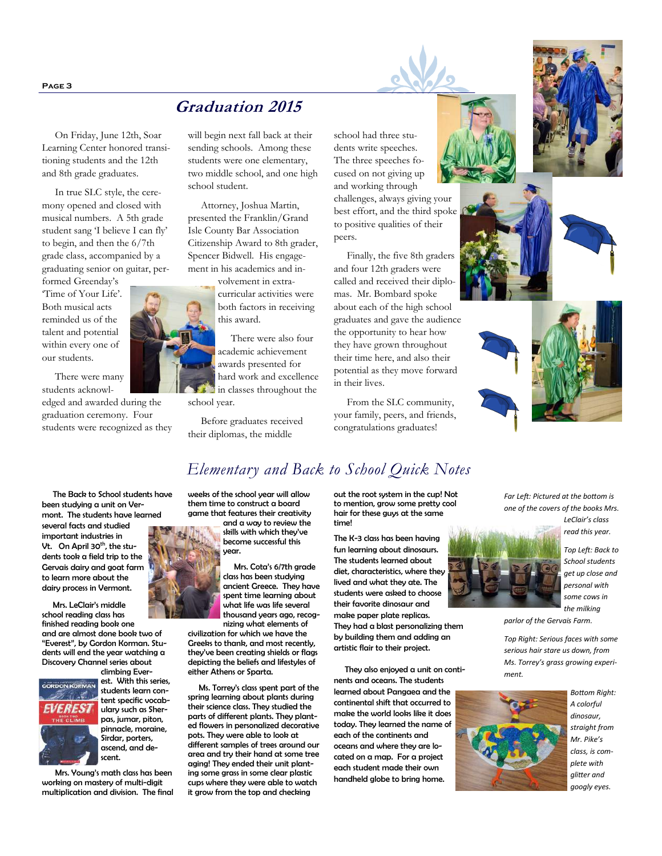**Page 3**

## **Graduation 2015**

 On Friday, June 12th, Soar Learning Center honored transitioning students and the 12th and 8th grade graduates.

 In true SLC style, the ceremony opened and closed with musical numbers. A 5th grade student sang 'I believe I can fly' to begin, and then the 6/7th grade class, accompanied by a graduating senior on guitar, per-

formed Greenday's 'Time of Your Life'. Both musical acts reminded us of the talent and potential within every one of our students.

 There were many students acknowl-

edged and awarded during the graduation ceremony. Four students were recognized as they will begin next fall back at their sending schools. Among these students were one elementary, two middle school, and one high school student.

 Attorney, Joshua Martin, presented the Franklin/Grand Isle County Bar Association Citizenship Award to 8th grader, Spencer Bidwell. His engagement in his academics and in-

> volvement in extracurricular activities were both factors in receiving this award.

 There were also four academic achievement awards presented for hard work and excellence in classes throughout the school year.

 Before graduates received their diplomas, the middle

school had three students write speeches. The three speeches focused on not giving up and working through

challenges, always giving your best effort, and the third spoke to positive qualities of their peers.

 Finally, the five 8th graders and four 12th graders were called and received their diplomas. Mr. Bombard spoke about each of the high school graduates and gave the audience the opportunity to hear how they have grown throughout their time here, and also their potential as they move forward in their lives.

 From the SLC community, your family, peers, and friends, congratulations graduates!











 The Back to School students have been studying a unit on Ver-

mont. The students have learned several facts and studied important industries in Vt. On April 30<sup>th</sup>, the students took a field trip to the Gervais dairy and goat farm to learn more about the dairy process in Vermont.

 Mrs. LeClair's middle school reading class has finished reading book one and are almost done book two of "Everest", by Gordon Korman. Students will end the year watching a Discovery Channel series about climbing Ever-



est. With this series, students learn content specific vocabulary such as Sherpas, jumar, piton, pinnacle, moraine, Sirdar, porters, ascend, and descent.

 Mrs. Young's math class has been working on mastery of multi-digit multiplication and division. The final



weeks of the school year will allow them time to construct a board game that features their creativity

and a way to review the skills with which they've become successful this year.

*Elementary and Back to School Quick Notes*

 Mrs. Cota's 6/7th grade class has been studying ancient Greece. They have spent time learning about what life was life several thousand years ago, recognizing what elements of

civilization for which we have the Greeks to thank, and most recently, they've been creating shields or flags depicting the beliefs and lifestyles of either Athens or Sparta.

 Ms. Torrey's class spent part of the spring learning about plants during their science class. They studied the parts of different plants. They planted flowers in personalized decorative pots. They were able to look at different samples of trees around our area and try their hand at some tree aging! They ended their unit planting some grass in some clear plastic cups where they were able to watch it grow from the top and checking

out the root system in the cup! Not to mention, grow some pretty cool hair for these guys at the same time!

The K-3 class has been having fun learning about dinosaurs. The students learned about diet, characteristics, where they lived and what they ate. The students were asked to choose their favorite dinosaur and make paper plate replicas. They had a blast personalizing them by building them and adding an artistic flair to their project.

 They also enjoyed a unit on continents and oceans. The students learned about Pangaea and the continental shift that occurred to make the world looks like it does today. They learned the name of each of the continents and oceans and where they are located on a map. For a project each student made their own handheld globe to bring home.

*Far Left: Pictured at the bottom is one of the covers of the books Mrs. LeClair's class* 

*read this year.* 

*Top Left: Back to School students get up close and personal with some cows in the milking* 

*parlor of the Gervais Farm.*

*Top Right: Serious faces with some serious hair stare us down, from Ms. Torrey's grass growing experiment.*



*A colorful dinosaur, straight from Mr. Pike's class, is complete with glitter and googly eyes.*

*Bottom Right:* 

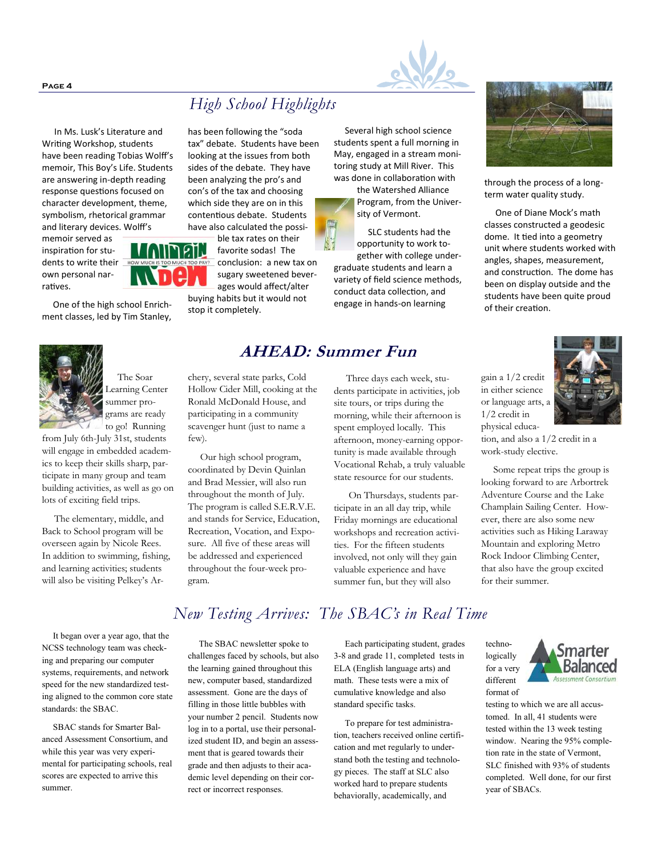**Page 4**



memoir served as inspiration for students to write their own personal narratives.

 One of the high school Enrichment classes, led by Tim Stanley,



 The Soar Learning Center summer programs are ready to go! Running

from July 6th-July 31st, students will engage in embedded academics to keep their skills sharp, participate in many group and team building activities, as well as go on lots of exciting field trips.

 The elementary, middle, and Back to School program will be overseen again by Nicole Rees. In addition to swimming, fishing, and learning activities; students will also be visiting Pelkey's Ar-

 It began over a year ago, that the NCSS technology team was checking and preparing our computer systems, requirements, and network speed for the new standardized testing aligned to the common core state standards: the SBAC.

 SBAC stands for Smarter Balanced Assessment Consortium, and while this year was very experimental for participating schools, real scores are expected to arrive this summer.

## *High School Highlights*

has been following the "soda tax" debate. Students have been looking at the issues from both sides of the debate. They have been analyzing the pro's and con's of the tax and choosing which side they are on in this contentious debate. Students have also calculated the possible tax rates on their

favorite sodas! The conclusion: a new tax on sugary sweetened bever-

buying habits but it would not

 Several high school science students spent a full morning in May, engaged in a stream monitoring study at Mill River. This was done in collaboration with

the Watershed Alliance Program, from the University of Vermont.

 SLC students had the opportunity to work together with college undergraduate students and learn a variety of field science methods, conduct data collection, and engage in hands-on learning

 Three days each week, students participate in activities, job site tours, or trips during the

spent employed locally. This afternoon, money-earning opportunity is made available through Vocational Rehab, a truly valuable state resource for our students.

 On Thursdays, students participate in an all day trip, while Friday mornings are educational workshops and recreation activities. For the fifteen students involved, not only will they gain valuable experience and have summer fun, but they will also



through the process of a longterm water quality study.

 One of Diane Mock's math classes constructed a geodesic dome. It tied into a geometry unit where students worked with angles, shapes, measurement, and construction. The dome has been on display outside and the students have been quite proud of their creation.

physical educa-



tion, and also a 1/2 credit in a work-study elective.

 Some repeat trips the group is looking forward to are Arbortrek Adventure Course and the Lake Champlain Sailing Center. However, there are also some new activities such as Hiking Laraway Mountain and exploring Metro Rock Indoor Climbing Center, that also have the group excited for their summer.

*New Testing Arrives: The SBAC's in Real Time*

 The SBAC newsletter spoke to challenges faced by schools, but also the learning gained throughout this new, computer based, standardized assessment. Gone are the days of filling in those little bubbles with your number 2 pencil. Students now log in to a portal, use their personalized student ID, and begin an assessment that is geared towards their grade and then adjusts to their academic level depending on their correct or incorrect responses.

#### Each participating student, grades 3-8 and grade 11, completed tests in ELA (English language arts) and math. These tests were a mix of cumulative knowledge and also standard specific tasks.

 To prepare for test administration, teachers received online certification and met regularly to understand both the testing and technology pieces. The staff at SLC also worked hard to prepare students behaviorally, academically, and



testing to which we are all accustomed. In all, 41 students were tested within the 13 week testing window. Nearing the 95% completion rate in the state of Vermont, SLC finished with 93% of students completed. Well done, for our first year of SBACs.

# W

ages would affect/alter

stop it completely.

## **AHEAD: Summer Fun**

chery, several state parks, Cold Hollow Cider Mill, cooking at the Ronald McDonald House, and participating in a community scavenger hunt (just to name a few).

 Our high school program, coordinated by Devin Quinlan and Brad Messier, will also run throughout the month of July. The program is called S.E.R.V.E. and stands for Service, Education, Recreation, Vocation, and Exposure. All five of these areas will be addressed and experienced throughout the four-week program.



techno-